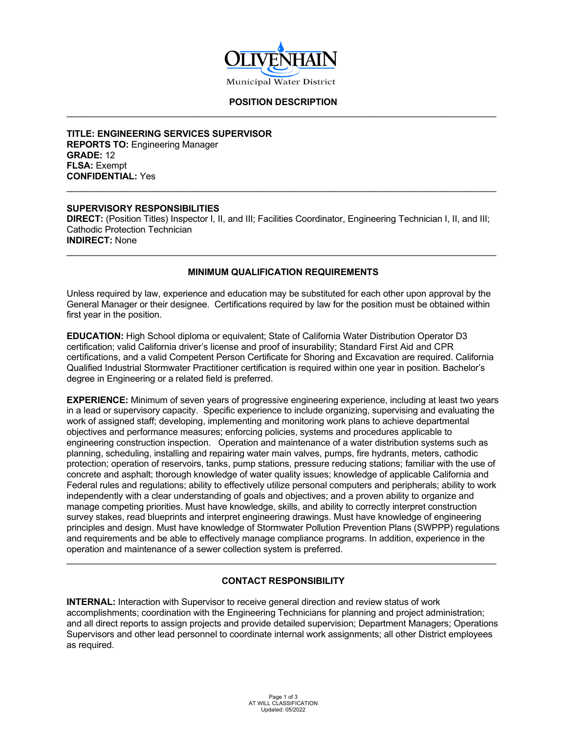

#### **POSITION DESCRIPTION** \_\_\_\_\_\_\_\_\_\_\_\_\_\_\_\_\_\_\_\_\_\_\_\_\_\_\_\_\_\_\_\_\_\_\_\_\_\_\_\_\_\_\_\_\_\_\_\_\_\_\_\_\_\_\_\_\_\_\_\_\_\_\_\_\_\_\_\_\_\_\_\_\_\_\_\_\_\_\_\_\_\_\_\_\_

**TITLE: ENGINEERING SERVICES SUPERVISOR REPORTS TO:** Engineering Manager **GRADE:** 12 **FLSA:** Exempt **CONFIDENTIAL:** Yes

#### **SUPERVISORY RESPONSIBILITIES**

**DIRECT:** (Position Titles) Inspector I, II, and III; Facilities Coordinator, Engineering Technician I, II, and III; Cathodic Protection Technician **INDIRECT:** None

\_\_\_\_\_\_\_\_\_\_\_\_\_\_\_\_\_\_\_\_\_\_\_\_\_\_\_\_\_\_\_\_\_\_\_\_\_\_\_\_\_\_\_\_\_\_\_\_\_\_\_\_\_\_\_\_\_\_\_\_\_\_\_\_\_\_\_\_\_\_\_\_\_\_\_\_\_\_\_\_\_\_\_\_\_

## **MINIMUM QUALIFICATION REQUIREMENTS**

\_\_\_\_\_\_\_\_\_\_\_\_\_\_\_\_\_\_\_\_\_\_\_\_\_\_\_\_\_\_\_\_\_\_\_\_\_\_\_\_\_\_\_\_\_\_\_\_\_\_\_\_\_\_\_\_\_\_\_\_\_\_\_\_\_\_\_\_\_\_\_\_\_\_\_\_\_\_\_\_\_\_\_\_\_

Unless required by law, experience and education may be substituted for each other upon approval by the General Manager or their designee. Certifications required by law for the position must be obtained within first year in the position.

**EDUCATION:** High School diploma or equivalent; State of California Water Distribution Operator D3 certification; valid California driver's license and proof of insurability; Standard First Aid and CPR certifications, and a valid Competent Person Certificate for Shoring and Excavation are required. California Qualified Industrial Stormwater Practitioner certification is required within one year in position. Bachelor's degree in Engineering or a related field is preferred.

**EXPERIENCE:** Minimum of seven years of progressive engineering experience, including at least two years in a lead or supervisory capacity. Specific experience to include organizing, supervising and evaluating the work of assigned staff; developing, implementing and monitoring work plans to achieve departmental objectives and performance measures; enforcing policies, systems and procedures applicable to engineering construction inspection. Operation and maintenance of a water distribution systems such as planning, scheduling, installing and repairing water main valves, pumps, fire hydrants, meters, cathodic protection; operation of reservoirs, tanks, pump stations, pressure reducing stations; familiar with the use of concrete and asphalt; thorough knowledge of water quality issues; knowledge of applicable California and Federal rules and regulations; ability to effectively utilize personal computers and peripherals; ability to work independently with a clear understanding of goals and objectives; and a proven ability to organize and manage competing priorities. Must have knowledge, skills, and ability to correctly interpret construction survey stakes, read blueprints and interpret engineering drawings. Must have knowledge of engineering principles and design. Must have knowledge of Stormwater Pollution Prevention Plans (SWPPP) regulations and requirements and be able to effectively manage compliance programs. In addition, experience in the operation and maintenance of a sewer collection system is preferred.

## **CONTACT RESPONSIBILITY**

\_\_\_\_\_\_\_\_\_\_\_\_\_\_\_\_\_\_\_\_\_\_\_\_\_\_\_\_\_\_\_\_\_\_\_\_\_\_\_\_\_\_\_\_\_\_\_\_\_\_\_\_\_\_\_\_\_\_\_\_\_\_\_\_\_\_\_\_\_\_\_\_\_\_\_\_\_\_\_\_\_\_\_\_\_

**INTERNAL:** Interaction with Supervisor to receive general direction and review status of work accomplishments; coordination with the Engineering Technicians for planning and project administration; and all direct reports to assign projects and provide detailed supervision; Department Managers; Operations Supervisors and other lead personnel to coordinate internal work assignments; all other District employees as required.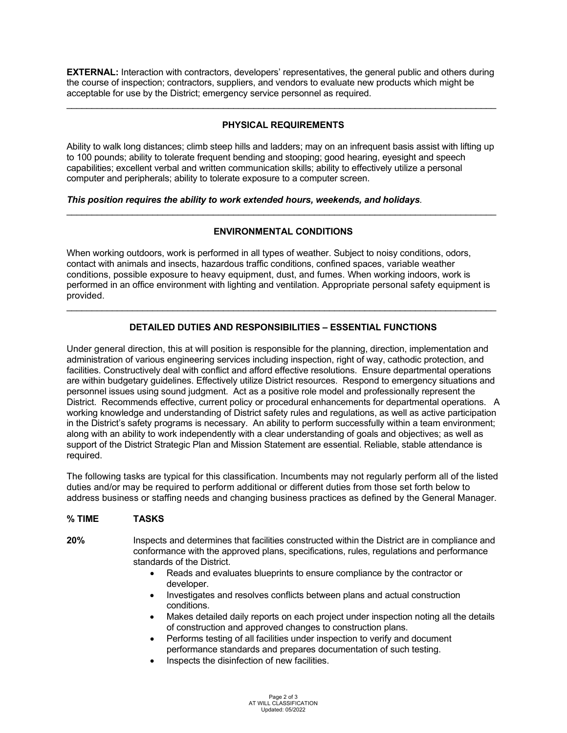**EXTERNAL:** Interaction with contractors, developers' representatives, the general public and others during the course of inspection; contractors, suppliers, and vendors to evaluate new products which might be acceptable for use by the District; emergency service personnel as required.

\_\_\_\_\_\_\_\_\_\_\_\_\_\_\_\_\_\_\_\_\_\_\_\_\_\_\_\_\_\_\_\_\_\_\_\_\_\_\_\_\_\_\_\_\_\_\_\_\_\_\_\_\_\_\_\_\_\_\_\_\_\_\_\_\_\_\_\_\_\_\_\_\_\_\_\_\_\_\_\_\_\_\_\_\_

# **PHYSICAL REQUIREMENTS**

Ability to walk long distances; climb steep hills and ladders; may on an infrequent basis assist with lifting up to 100 pounds; ability to tolerate frequent bending and stooping; good hearing, eyesight and speech capabilities; excellent verbal and written communication skills; ability to effectively utilize a personal computer and peripherals; ability to tolerate exposure to a computer screen.

## *This position requires the ability to work extended hours, weekends, and holidays.*

## **ENVIRONMENTAL CONDITIONS**

\_\_\_\_\_\_\_\_\_\_\_\_\_\_\_\_\_\_\_\_\_\_\_\_\_\_\_\_\_\_\_\_\_\_\_\_\_\_\_\_\_\_\_\_\_\_\_\_\_\_\_\_\_\_\_\_\_\_\_\_\_\_\_\_\_\_\_\_\_\_\_\_\_\_\_\_\_\_\_\_\_\_\_\_\_

When working outdoors, work is performed in all types of weather. Subject to noisy conditions, odors, contact with animals and insects, hazardous traffic conditions, confined spaces, variable weather conditions, possible exposure to heavy equipment, dust, and fumes. When working indoors, work is performed in an office environment with lighting and ventilation. Appropriate personal safety equipment is provided.

# **DETAILED DUTIES AND RESPONSIBILITIES – ESSENTIAL FUNCTIONS**

\_\_\_\_\_\_\_\_\_\_\_\_\_\_\_\_\_\_\_\_\_\_\_\_\_\_\_\_\_\_\_\_\_\_\_\_\_\_\_\_\_\_\_\_\_\_\_\_\_\_\_\_\_\_\_\_\_\_\_\_\_\_\_\_\_\_\_\_\_\_\_\_\_\_\_\_\_\_\_\_\_\_\_\_\_

Under general direction, this at will position is responsible for the planning, direction, implementation and administration of various engineering services including inspection, right of way, cathodic protection, and facilities. Constructively deal with conflict and afford effective resolutions. Ensure departmental operations are within budgetary guidelines. Effectively utilize District resources. Respond to emergency situations and personnel issues using sound judgment. Act as a positive role model and professionally represent the District. Recommends effective, current policy or procedural enhancements for departmental operations. A working knowledge and understanding of District safety rules and regulations, as well as active participation in the District's safety programs is necessary. An ability to perform successfully within a team environment; along with an ability to work independently with a clear understanding of goals and objectives; as well as support of the District Strategic Plan and Mission Statement are essential. Reliable, stable attendance is required.

The following tasks are typical for this classification. Incumbents may not regularly perform all of the listed duties and/or may be required to perform additional or different duties from those set forth below to address business or staffing needs and changing business practices as defined by the General Manager.

## **% TIME TASKS**

**20%** Inspects and determines that facilities constructed within the District are in compliance and conformance with the approved plans, specifications, rules, regulations and performance standards of the District.

- Reads and evaluates blueprints to ensure compliance by the contractor or developer.
- Investigates and resolves conflicts between plans and actual construction conditions.
- Makes detailed daily reports on each project under inspection noting all the details of construction and approved changes to construction plans.
- Performs testing of all facilities under inspection to verify and document performance standards and prepares documentation of such testing.
- Inspects the disinfection of new facilities.